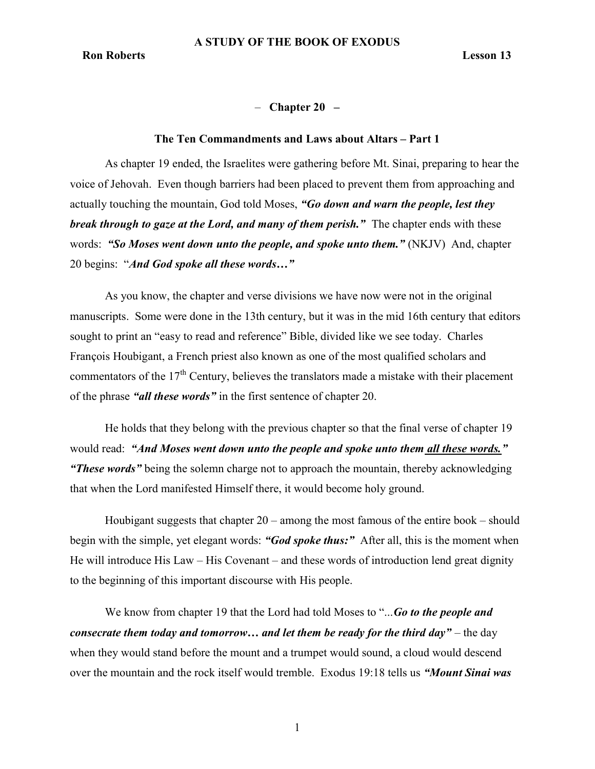# $-$  Chapter 20  $-$

#### The Ten Commandments and Laws about Altars – Part 1

As chapter 19 ended, the Israelites were gathering before Mt. Sinai, preparing to hear the voice of Jehovah. Even though barriers had been placed to prevent them from approaching and actually touching the mountain, God told Moses, "Go down and warn the people, lest they break through to gaze at the Lord, and many of them perish." The chapter ends with these words: "So Moses went down unto the people, and spoke unto them." (NKJV) And, chapter 20 begins: "And God spoke all these words..."

As you know, the chapter and verse divisions we have now were not in the original manuscripts. Some were done in the 13th century, but it was in the mid 16th century that editors sought to print an "easy to read and reference" Bible, divided like we see today. Charles François Houbigant, a French priest also known as one of the most qualified scholars and commentators of the  $17<sup>th</sup>$  Century, believes the translators made a mistake with their placement of the phrase "all these words" in the first sentence of chapter 20.

He holds that they belong with the previous chapter so that the final verse of chapter 19 would read: "And Moses went down unto the people and spoke unto them all these words." **"These words"** being the solemn charge not to approach the mountain, thereby acknowledging that when the Lord manifested Himself there, it would become holy ground.

Houbigant suggests that chapter 20 – among the most famous of the entire book – should begin with the simple, yet elegant words: "God spoke thus:" After all, this is the moment when He will introduce His Law – His Covenant – and these words of introduction lend great dignity to the beginning of this important discourse with His people.

We know from chapter 19 that the Lord had told Moses to "... Go to the people and consecrate them today and tomorrow... and let them be ready for the third day" – the day when they would stand before the mount and a trumpet would sound, a cloud would descend over the mountain and the rock itself would tremble. Exodus 19:18 tells us "Mount Sinai was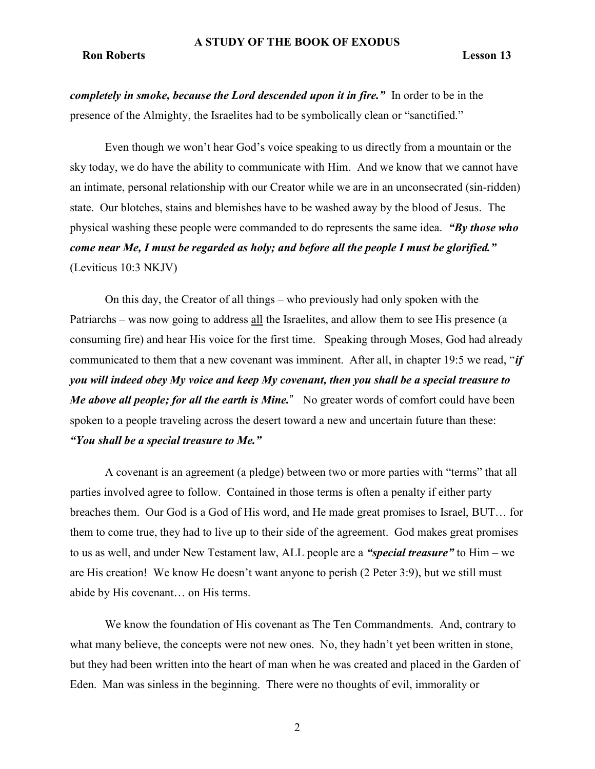# **Ron Roberts** Lesson 13

completely in smoke, because the Lord descended upon it in fire." In order to be in the presence of the Almighty, the Israelites had to be symbolically clean or "sanctified."

Even though we won't hear God's voice speaking to us directly from a mountain or the sky today, we do have the ability to communicate with Him. And we know that we cannot have an intimate, personal relationship with our Creator while we are in an unconsecrated (sin-ridden) state. Our blotches, stains and blemishes have to be washed away by the blood of Jesus. The physical washing these people were commanded to do represents the same idea. "By those who come near Me, I must be regarded as holy; and before all the people I must be glorified." (Leviticus 10:3 NKJV)

On this day, the Creator of all things – who previously had only spoken with the Patriarchs – was now going to address all the Israelites, and allow them to see His presence (a consuming fire) and hear His voice for the first time. Speaking through Moses, God had already communicated to them that a new covenant was imminent. After all, in chapter 19:5 we read, "if you will indeed obey My voice and keep My covenant, then you shall be a special treasure to Me above all people; for all the earth is Mine." No greater words of comfort could have been spoken to a people traveling across the desert toward a new and uncertain future than these: "You shall be a special treasure to Me."

A covenant is an agreement (a pledge) between two or more parties with "terms" that all parties involved agree to follow. Contained in those terms is often a penalty if either party breaches them. Our God is a God of His word, and He made great promises to Israel, BUT… for them to come true, they had to live up to their side of the agreement. God makes great promises to us as well, and under New Testament law, ALL people are a "special treasure" to Him – we are His creation! We know He doesn't want anyone to perish (2 Peter 3:9), but we still must abide by His covenant… on His terms.

We know the foundation of His covenant as The Ten Commandments. And, contrary to what many believe, the concepts were not new ones. No, they hadn't yet been written in stone, but they had been written into the heart of man when he was created and placed in the Garden of Eden. Man was sinless in the beginning. There were no thoughts of evil, immorality or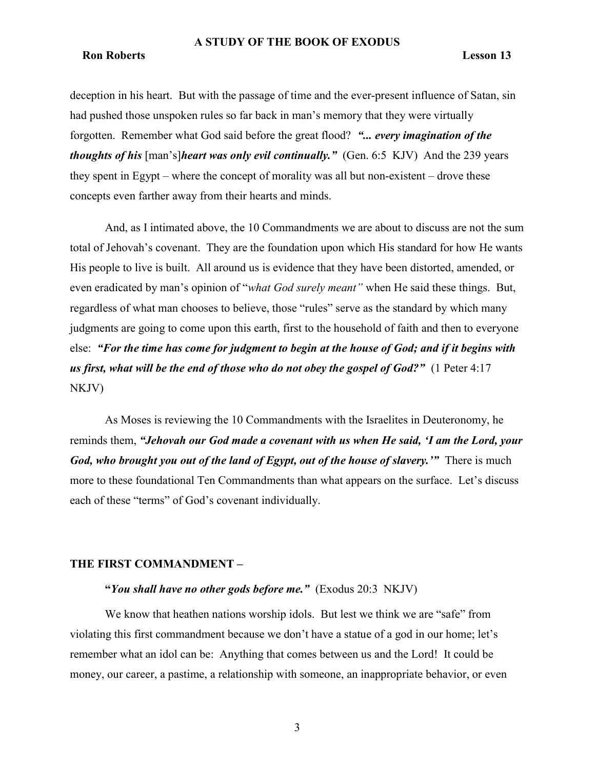#### Ron Roberts Lesson 13

deception in his heart. But with the passage of time and the ever-present influence of Satan, sin had pushed those unspoken rules so far back in man's memory that they were virtually forgotten. Remember what God said before the great flood? "... every imagination of the thoughts of his [man's]heart was only evil continually." (Gen. 6:5 KJV) And the 239 years they spent in Egypt – where the concept of morality was all but non-existent – drove these concepts even farther away from their hearts and minds.

And, as I intimated above, the 10 Commandments we are about to discuss are not the sum total of Jehovah's covenant. They are the foundation upon which His standard for how He wants His people to live is built. All around us is evidence that they have been distorted, amended, or even eradicated by man's opinion of "what God surely meant" when He said these things. But, regardless of what man chooses to believe, those "rules" serve as the standard by which many judgments are going to come upon this earth, first to the household of faith and then to everyone else: "For the time has come for judgment to begin at the house of God; and if it begins with us first, what will be the end of those who do not obey the gospel of God?" (1 Peter 4:17 NKJV)

As Moses is reviewing the 10 Commandments with the Israelites in Deuteronomy, he reminds them, "Jehovah our God made a covenant with us when He said, 'I am the Lord, your God, who brought you out of the land of Egypt, out of the house of slavery." There is much more to these foundational Ten Commandments than what appears on the surface. Let's discuss each of these "terms" of God's covenant individually.

#### THE FIRST COMMANDMENT –

# "You shall have no other gods before me."  $(Exodus 20:3 NKJV)$

We know that heathen nations worship idols. But lest we think we are "safe" from violating this first commandment because we don't have a statue of a god in our home; let's remember what an idol can be: Anything that comes between us and the Lord! It could be money, our career, a pastime, a relationship with someone, an inappropriate behavior, or even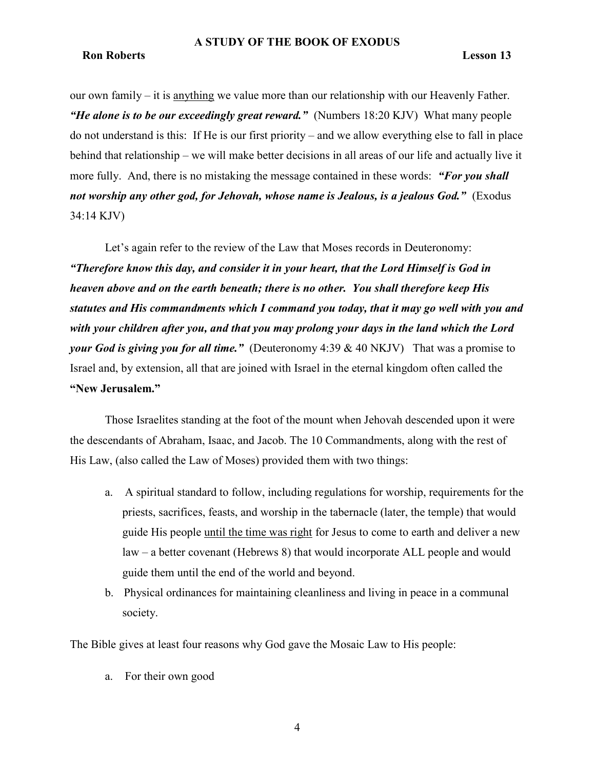#### Ron Roberts Lesson 13

our own family – it is anything we value more than our relationship with our Heavenly Father. "He alone is to be our exceedingly great reward." (Numbers 18:20 KJV) What many people do not understand is this: If He is our first priority – and we allow everything else to fall in place behind that relationship – we will make better decisions in all areas of our life and actually live it more fully. And, there is no mistaking the message contained in these words: "For you shall not worship any other god, for Jehovah, whose name is Jealous, is a jealous God." (Exodus 34:14 KJV)

Let's again refer to the review of the Law that Moses records in Deuteronomy: "Therefore know this day, and consider it in your heart, that the Lord Himself is God in heaven above and on the earth beneath; there is no other. You shall therefore keep His statutes and His commandments which I command you today, that it may go well with you and with your children after you, and that you may prolong your days in the land which the Lord your God is giving you for all time." (Deuteronomy 4:39 & 40 NKJV) That was a promise to Israel and, by extension, all that are joined with Israel in the eternal kingdom often called the "New Jerusalem."

Those Israelites standing at the foot of the mount when Jehovah descended upon it were the descendants of Abraham, Isaac, and Jacob. The 10 Commandments, along with the rest of His Law, (also called the Law of Moses) provided them with two things:

- a. A spiritual standard to follow, including regulations for worship, requirements for the priests, sacrifices, feasts, and worship in the tabernacle (later, the temple) that would guide His people until the time was right for Jesus to come to earth and deliver a new law – a better covenant (Hebrews 8) that would incorporate ALL people and would guide them until the end of the world and beyond.
- b. Physical ordinances for maintaining cleanliness and living in peace in a communal society.

The Bible gives at least four reasons why God gave the Mosaic Law to His people:

a. For their own good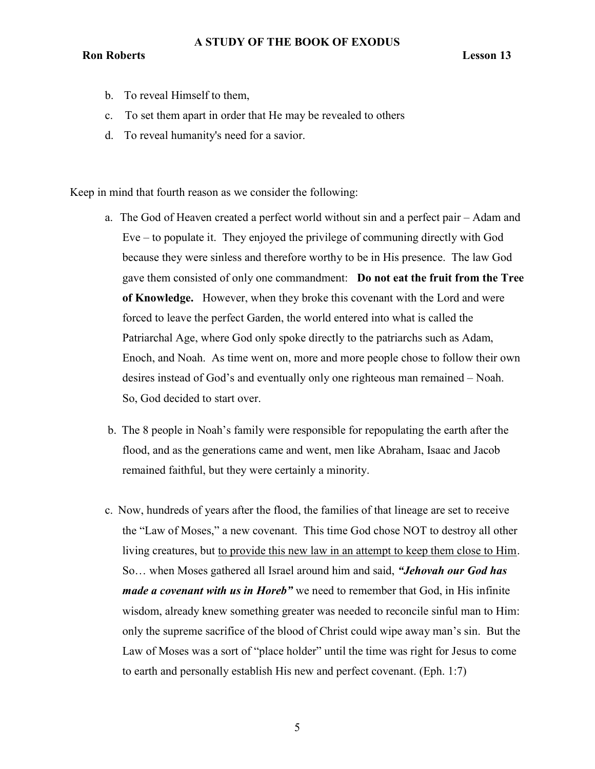- b. To reveal Himself to them,
- c. To set them apart in order that He may be revealed to others
- d. To reveal humanity's need for a savior.

Keep in mind that fourth reason as we consider the following:

- a. The God of Heaven created a perfect world without sin and a perfect pair Adam and Eve – to populate it. They enjoyed the privilege of communing directly with God because they were sinless and therefore worthy to be in His presence. The law God gave them consisted of only one commandment: Do not eat the fruit from the Tree of Knowledge. However, when they broke this covenant with the Lord and were forced to leave the perfect Garden, the world entered into what is called the Patriarchal Age, where God only spoke directly to the patriarchs such as Adam, Enoch, and Noah. As time went on, more and more people chose to follow their own desires instead of God's and eventually only one righteous man remained – Noah. So, God decided to start over.
- b. The 8 people in Noah's family were responsible for repopulating the earth after the flood, and as the generations came and went, men like Abraham, Isaac and Jacob remained faithful, but they were certainly a minority.
- c. Now, hundreds of years after the flood, the families of that lineage are set to receive the "Law of Moses," a new covenant. This time God chose NOT to destroy all other living creatures, but to provide this new law in an attempt to keep them close to Him. So... when Moses gathered all Israel around him and said, "*Jehovah our God has* made a covenant with us in Horeb" we need to remember that God, in His infinite wisdom, already knew something greater was needed to reconcile sinful man to Him: only the supreme sacrifice of the blood of Christ could wipe away man's sin. But the Law of Moses was a sort of "place holder" until the time was right for Jesus to come to earth and personally establish His new and perfect covenant. (Eph. 1:7)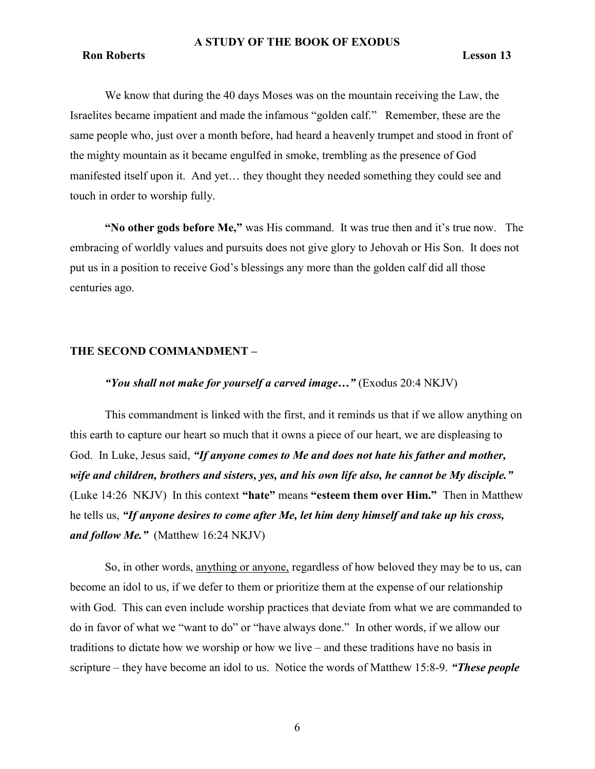# Ron Roberts Lesson 13

We know that during the 40 days Moses was on the mountain receiving the Law, the Israelites became impatient and made the infamous "golden calf." Remember, these are the same people who, just over a month before, had heard a heavenly trumpet and stood in front of the mighty mountain as it became engulfed in smoke, trembling as the presence of God manifested itself upon it. And yet… they thought they needed something they could see and touch in order to worship fully.

"No other gods before Me," was His command. It was true then and it's true now. The embracing of worldly values and pursuits does not give glory to Jehovah or His Son. It does not put us in a position to receive God's blessings any more than the golden calf did all those centuries ago.

#### THE SECOND COMMANDMENT –

# "You shall not make for yourself a carved image..." (Exodus 20:4 NKJV)

This commandment is linked with the first, and it reminds us that if we allow anything on this earth to capture our heart so much that it owns a piece of our heart, we are displeasing to God. In Luke, Jesus said, "If anyone comes to Me and does not hate his father and mother, wife and children, brothers and sisters, yes, and his own life also, he cannot be My disciple." (Luke 14:26 NKJV) In this context "hate" means "esteem them over Him." Then in Matthew he tells us, "If anyone desires to come after Me, let him deny himself and take up his cross, and follow Me." (Matthew  $16:24$  NKJV)

So, in other words, anything or anyone, regardless of how beloved they may be to us, can become an idol to us, if we defer to them or prioritize them at the expense of our relationship with God. This can even include worship practices that deviate from what we are commanded to do in favor of what we "want to do" or "have always done." In other words, if we allow our traditions to dictate how we worship or how we live – and these traditions have no basis in scripture – they have become an idol to us. Notice the words of Matthew 15:8-9. "These people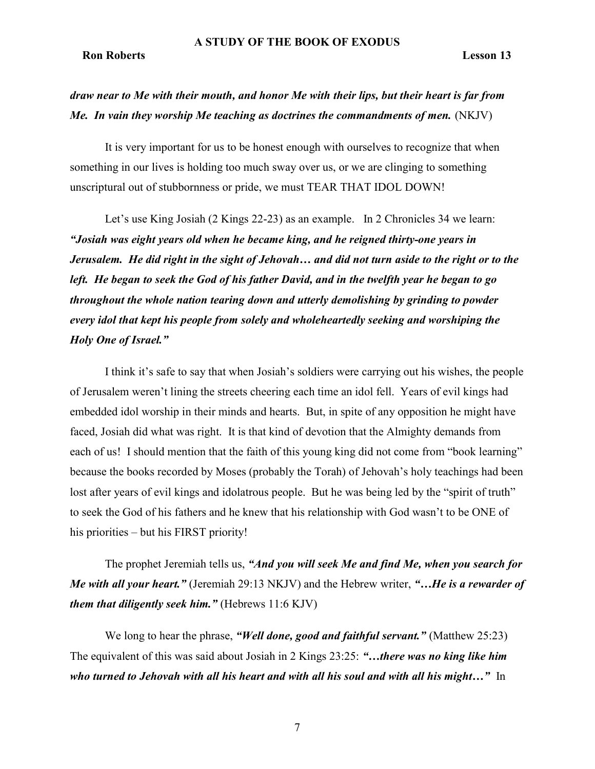# draw near to Me with their mouth, and honor Me with their lips, but their heart is far from Me. In vain they worship Me teaching as doctrines the commandments of men.  $(NKJV)$

It is very important for us to be honest enough with ourselves to recognize that when something in our lives is holding too much sway over us, or we are clinging to something unscriptural out of stubbornness or pride, we must TEAR THAT IDOL DOWN!

Let's use King Josiah (2 Kings 22-23) as an example. In 2 Chronicles 34 we learn: "Josiah was eight years old when he became king, and he reigned thirty-one years in Jerusalem. He did right in the sight of Jehovah… and did not turn aside to the right or to the left. He began to seek the God of his father David, and in the twelfth year he began to go throughout the whole nation tearing down and utterly demolishing by grinding to powder every idol that kept his people from solely and wholeheartedly seeking and worshiping the Holy One of Israel."

I think it's safe to say that when Josiah's soldiers were carrying out his wishes, the people of Jerusalem weren't lining the streets cheering each time an idol fell. Years of evil kings had embedded idol worship in their minds and hearts. But, in spite of any opposition he might have faced, Josiah did what was right. It is that kind of devotion that the Almighty demands from each of us! I should mention that the faith of this young king did not come from "book learning" because the books recorded by Moses (probably the Torah) of Jehovah's holy teachings had been lost after years of evil kings and idolatrous people. But he was being led by the "spirit of truth" to seek the God of his fathers and he knew that his relationship with God wasn't to be ONE of his priorities – but his FIRST priority!

The prophet Jeremiah tells us, "And you will seek Me and find Me, when you search for Me with all your heart." (Jeremiah 29:13 NKJV) and the Hebrew writer, "... He is a rewarder of them that diligently seek him." (Hebrews  $11:6$  KJV)

We long to hear the phrase, "Well done, good and faithful servant." (Matthew 25:23) The equivalent of this was said about Josiah in 2 Kings 23:25: "...there was no king like him who turned to Jehovah with all his heart and with all his soul and with all his might..." In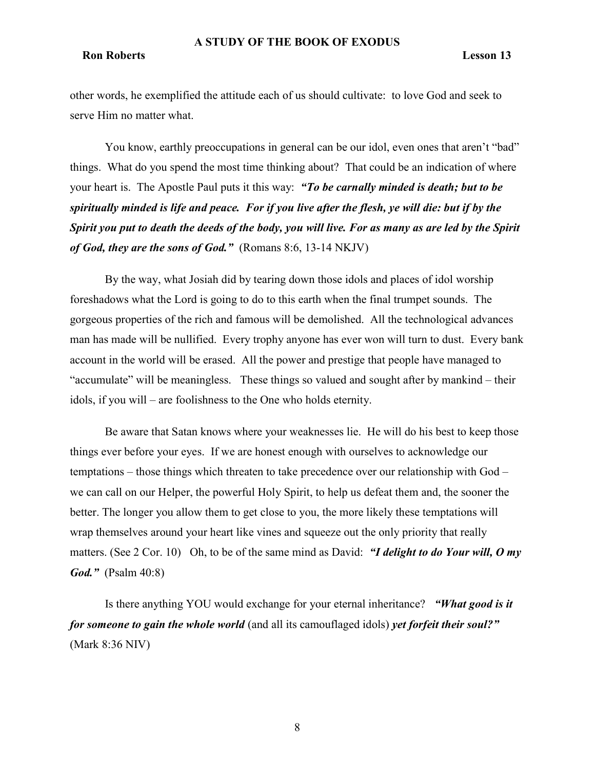# Ron Roberts Lesson 13

other words, he exemplified the attitude each of us should cultivate: to love God and seek to serve Him no matter what.

You know, earthly preoccupations in general can be our idol, even ones that aren't "bad" things. What do you spend the most time thinking about? That could be an indication of where your heart is. The Apostle Paul puts it this way: "To be carnally minded is death; but to be spiritually minded is life and peace. For if you live after the flesh, ye will die: but if by the Spirit you put to death the deeds of the body, you will live. For as many as are led by the Spirit of God, they are the sons of God." (Romans 8:6, 13-14 NKJV)

By the way, what Josiah did by tearing down those idols and places of idol worship foreshadows what the Lord is going to do to this earth when the final trumpet sounds. The gorgeous properties of the rich and famous will be demolished. All the technological advances man has made will be nullified. Every trophy anyone has ever won will turn to dust. Every bank account in the world will be erased. All the power and prestige that people have managed to "accumulate" will be meaningless. These things so valued and sought after by mankind – their idols, if you will – are foolishness to the One who holds eternity.

Be aware that Satan knows where your weaknesses lie. He will do his best to keep those things ever before your eyes. If we are honest enough with ourselves to acknowledge our temptations – those things which threaten to take precedence over our relationship with God – we can call on our Helper, the powerful Holy Spirit, to help us defeat them and, the sooner the better. The longer you allow them to get close to you, the more likely these temptations will wrap themselves around your heart like vines and squeeze out the only priority that really matters. (See 2 Cor. 10) Oh, to be of the same mind as David: "I delight to do Your will, O my *God.*" (Psalm 40:8)

Is there anything YOU would exchange for your eternal inheritance? "What good is it for someone to gain the whole world (and all its camouflaged idols) yet forfeit their soul?" (Mark 8:36 NIV)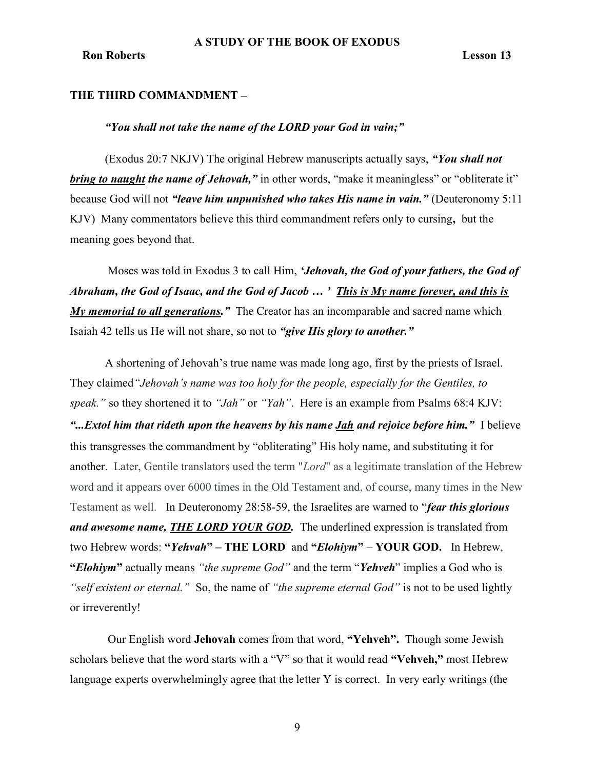### THE THIRD COMMANDMENT –

### "You shall not take the name of the LORD your God in vain;"

(Exodus 20:7 NKJV) The original Hebrew manuscripts actually says, "You shall not bring to naught the name of Jehovah," in other words, "make it meaningless" or "obliterate it" because God will not "leave him unpunished who takes His name in vain." (Deuteronomy 5:11 KJV) Many commentators believe this third commandment refers only to cursing, but the meaning goes beyond that.

Moses was told in Exodus 3 to call Him, 'Jehovah, the God of your fathers, the God of Abraham, the God of Isaac, and the God of Jacob … ' This is My name forever, and this is  $My$  memorial to all generations." The Creator has an incomparable and sacred name which Isaiah 42 tells us He will not share, so not to "give His glory to another."

A shortening of Jehovah's true name was made long ago, first by the priests of Israel. They claimed"Jehovah's name was too holy for the people, especially for the Gentiles, to speak." so they shortened it to "Jah" or "Yah". Here is an example from Psalms 68:4 KJV: "...*Extol him that rideth upon the heavens by his name Jah and rejoice before him.*" I believe this transgresses the commandment by "obliterating" His holy name, and substituting it for another. Later, Gentile translators used the term "Lord" as a legitimate translation of the Hebrew word and it appears over 6000 times in the Old Testament and, of course, many times in the New Testament as well. In Deuteronomy 28:58-59, the Israelites are warned to "*fear this glorious* and awesome name, **THE LORD YOUR GOD**. The underlined expression is translated from two Hebrew words: "*Yehvah*" – THE LORD and "*Elohiym*" – YOUR GOD. In Hebrew, "Elohiym" actually means "the supreme God" and the term "Yehveh" implies a God who is "self existent or eternal." So, the name of "the supreme eternal God" is not to be used lightly or irreverently!

 Our English word Jehovah comes from that word, "Yehveh". Though some Jewish scholars believe that the word starts with a "V" so that it would read "Vehveh," most Hebrew language experts overwhelmingly agree that the letter Y is correct. In very early writings (the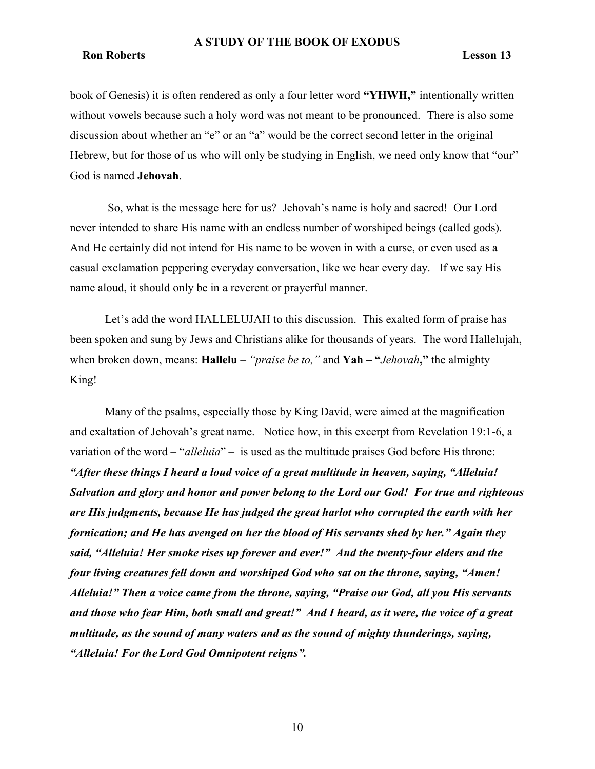#### Ron Roberts Lesson 13

book of Genesis) it is often rendered as only a four letter word "YHWH," intentionally written without vowels because such a holy word was not meant to be pronounced. There is also some discussion about whether an "e" or an "a" would be the correct second letter in the original Hebrew, but for those of us who will only be studying in English, we need only know that "our" God is named Jehovah.

 So, what is the message here for us? Jehovah's name is holy and sacred! Our Lord never intended to share His name with an endless number of worshiped beings (called gods). And He certainly did not intend for His name to be woven in with a curse, or even used as a casual exclamation peppering everyday conversation, like we hear every day. If we say His name aloud, it should only be in a reverent or prayerful manner.

Let's add the word HALLELUJAH to this discussion. This exalted form of praise has been spoken and sung by Jews and Christians alike for thousands of years. The word Hallelujah, when broken down, means: **Hallelu** – "*praise be to,*" and **Yah – "***Jehovah*," the almighty King!

Many of the psalms, especially those by King David, were aimed at the magnification and exaltation of Jehovah's great name. Notice how, in this excerpt from Revelation 19:1-6, a variation of the word – "*alleluia*" – is used as the multitude praises God before His throne: "After these things I heard a loud voice of a great multitude in heaven, saying, "Alleluia! Salvation and glory and honor and power belong to the Lord our God! For true and righteous are His judgments, because He has judged the great harlot who corrupted the earth with her fornication; and He has avenged on her the blood of His servants shed by her." Again they said, "Alleluia! Her smoke rises up forever and ever!" And the twenty-four elders and the four living creatures fell down and worshiped God who sat on the throne, saying, "Amen! Alleluia!" Then a voice came from the throne, saying, "Praise our God, all you His servants and those who fear Him, both small and great!" And I heard, as it were, the voice of a great multitude, as the sound of many waters and as the sound of mighty thunderings, saying, "Alleluia! For the Lord God Omnipotent reigns".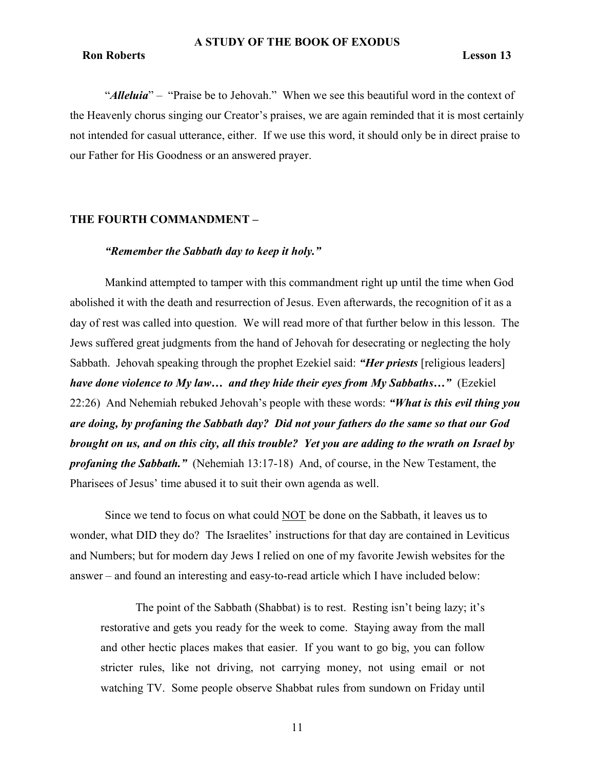"Alleluia" – "Praise be to Jehovah." When we see this beautiful word in the context of the Heavenly chorus singing our Creator's praises, we are again reminded that it is most certainly not intended for casual utterance, either. If we use this word, it should only be in direct praise to our Father for His Goodness or an answered prayer.

# THE FOURTH COMMANDMENT –

# "Remember the Sabbath day to keep it holy."

Mankind attempted to tamper with this commandment right up until the time when God abolished it with the death and resurrection of Jesus. Even afterwards, the recognition of it as a day of rest was called into question. We will read more of that further below in this lesson. The Jews suffered great judgments from the hand of Jehovah for desecrating or neglecting the holy Sabbath. Jehovah speaking through the prophet Ezekiel said: "*Her priests* [religious leaders] have done violence to My law... and they hide their eyes from My Sabbaths..." (Ezekiel  $22:26$ ) And Nehemiah rebuked Jehovah's people with these words: "What is this evil thing you are doing, by profaning the Sabbath day? Did not your fathers do the same so that our God brought on us, and on this city, all this trouble? Yet you are adding to the wrath on Israel by **profaning the Sabbath.**" (Nehemiah 13:17-18) And, of course, in the New Testament, the Pharisees of Jesus' time abused it to suit their own agenda as well.

Since we tend to focus on what could NOT be done on the Sabbath, it leaves us to wonder, what DID they do? The Israelites' instructions for that day are contained in Leviticus and Numbers; but for modern day Jews I relied on one of my favorite Jewish websites for the answer – and found an interesting and easy-to-read article which I have included below:

The point of the Sabbath (Shabbat) is to rest. Resting isn't being lazy; it's restorative and gets you ready for the week to come. Staying away from the mall and other hectic places makes that easier. If you want to go big, you can follow stricter rules, like not driving, not carrying money, not using email or not watching TV. Some people observe Shabbat rules from sundown on Friday until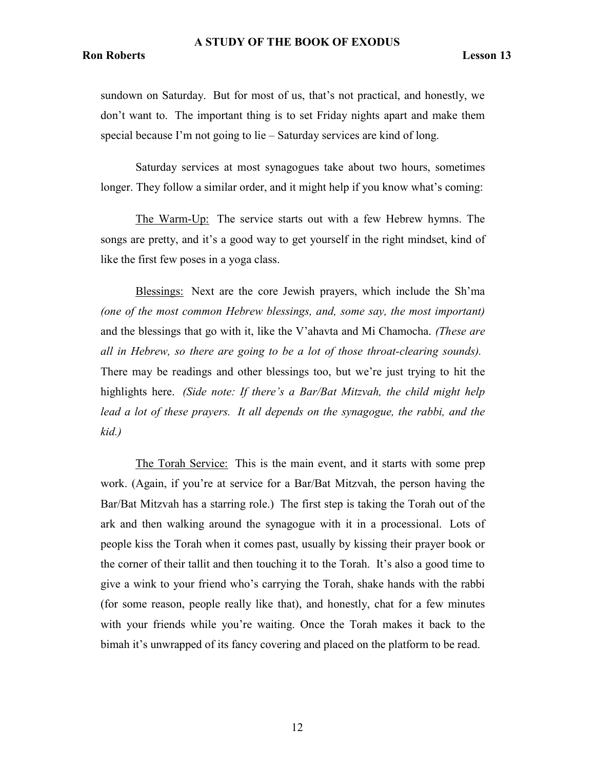sundown on Saturday. But for most of us, that's not practical, and honestly, we don't want to. The important thing is to set Friday nights apart and make them special because I'm not going to lie – Saturday services are kind of long.

Saturday services at most synagogues take about two hours, sometimes longer. They follow a similar order, and it might help if you know what's coming:

The Warm-Up: The service starts out with a few Hebrew hymns. The songs are pretty, and it's a good way to get yourself in the right mindset, kind of like the first few poses in a yoga class.

Blessings: Next are the core Jewish prayers, which include the Sh'ma (one of the most common Hebrew blessings, and, some say, the most important) and the blessings that go with it, like the V'ahavta and Mi Chamocha. (These are all in Hebrew, so there are going to be a lot of those throat-clearing sounds). There may be readings and other blessings too, but we're just trying to hit the highlights here. (Side note: If there's a Bar/Bat Mitzvah, the child might help lead a lot of these prayers. It all depends on the synagogue, the rabbi, and the kid.)

The Torah Service: This is the main event, and it starts with some prep work. (Again, if you're at service for a Bar/Bat Mitzvah, the person having the Bar/Bat Mitzvah has a starring role.) The first step is taking the Torah out of the ark and then walking around the synagogue with it in a processional. Lots of people kiss the Torah when it comes past, usually by kissing their prayer book or the corner of their tallit and then touching it to the Torah. It's also a good time to give a wink to your friend who's carrying the Torah, shake hands with the rabbi (for some reason, people really like that), and honestly, chat for a few minutes with your friends while you're waiting. Once the Torah makes it back to the bimah it's unwrapped of its fancy covering and placed on the platform to be read.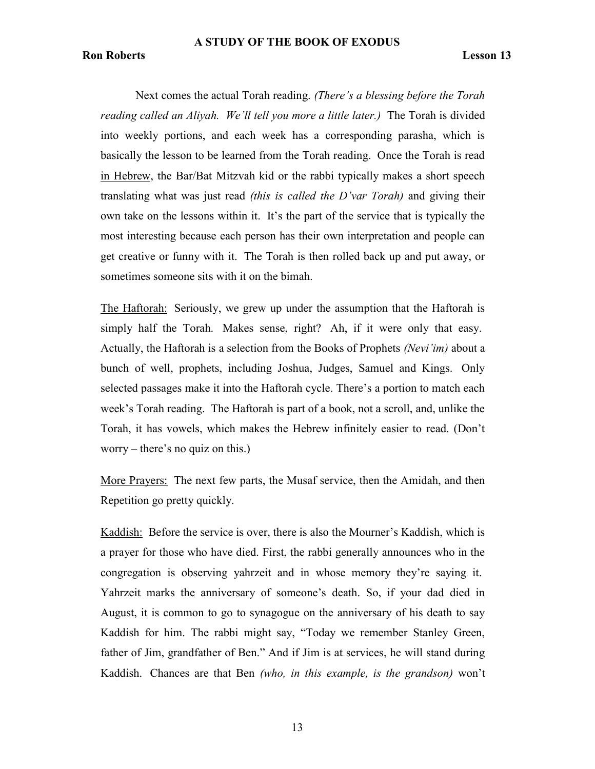Next comes the actual Torah reading. (There's a blessing before the Torah reading called an Aliyah. We'll tell you more a little later.) The Torah is divided into weekly portions, and each week has a corresponding parasha, which is basically the lesson to be learned from the Torah reading. Once the Torah is read in Hebrew, the Bar/Bat Mitzvah kid or the rabbi typically makes a short speech translating what was just read *(this is called the D'var Torah)* and giving their own take on the lessons within it. It's the part of the service that is typically the most interesting because each person has their own interpretation and people can get creative or funny with it. The Torah is then rolled back up and put away, or sometimes someone sits with it on the bimah.

The Haftorah: Seriously, we grew up under the assumption that the Haftorah is simply half the Torah. Makes sense, right? Ah, if it were only that easy. Actually, the Haftorah is a selection from the Books of Prophets (Nevi'im) about a bunch of well, prophets, including Joshua, Judges, Samuel and Kings. Only selected passages make it into the Haftorah cycle. There's a portion to match each week's Torah reading. The Haftorah is part of a book, not a scroll, and, unlike the Torah, it has vowels, which makes the Hebrew infinitely easier to read. (Don't worry – there's no quiz on this.)

More Prayers: The next few parts, the Musaf service, then the Amidah, and then Repetition go pretty quickly.

Kaddish: Before the service is over, there is also the Mourner's Kaddish, which is a prayer for those who have died. First, the rabbi generally announces who in the congregation is observing yahrzeit and in whose memory they're saying it. Yahrzeit marks the anniversary of someone's death. So, if your dad died in August, it is common to go to synagogue on the anniversary of his death to say Kaddish for him. The rabbi might say, "Today we remember Stanley Green, father of Jim, grandfather of Ben." And if Jim is at services, he will stand during Kaddish. Chances are that Ben (who, in this example, is the grandson) won't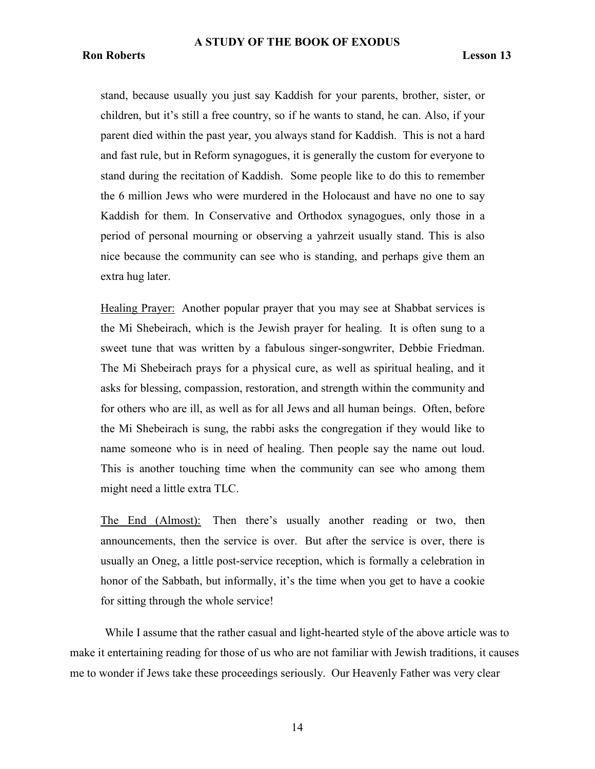stand, because usually you just say Kaddish for your parents, brother, sister, or children, but it's still a free country, so if he wants to stand, he can. Also, if your parent died within the past year, you always stand for Kaddish. This is not a hard and fast rule, but in Reform synagogues, it is generally the custom for everyone to stand during the recitation of Kaddish. Some people like to do this to remember the 6 million Jews who were murdered in the Holocaust and have no one to say Kaddish for them. In Conservative and Orthodox synagogues, only those in a period of personal mourning or observing a yahrzeit usually stand. This is also nice because the community can see who is standing, and perhaps give them an extra hug later.

Healing Prayer: Another popular prayer that you may see at Shabbat services is the Mi Shebeirach, which is the Jewish prayer for healing. It is often sung to a sweet tune that was written by a fabulous singer-songwriter, Debbie Friedman. The Mi Shebeirach prays for a physical cure, as well as spiritual healing, and it asks for blessing, compassion, restoration, and strength within the community and for others who are ill, as well as for all Jews and all human beings. Often, before the Mi Shebeirach is sung, the rabbi asks the congregation if they would like to name someone who is in need of healing. Then people say the name out loud. This is another touching time when the community can see who among them might need a little extra TLC.

The End (Almost): Then there's usually another reading or two, then announcements, then the service is over. But after the service is over, there is usually an Oneg, a little post-service reception, which is formally a celebration in honor of the Sabbath, but informally, it's the time when you get to have a cookie for sitting through the whole service!

While I assume that the rather casual and light-hearted style of the above article was to make it entertaining reading for those of us who are not familiar with Jewish traditions, it causes me to wonder if Jews take these proceedings seriously. Our Heavenly Father was very clear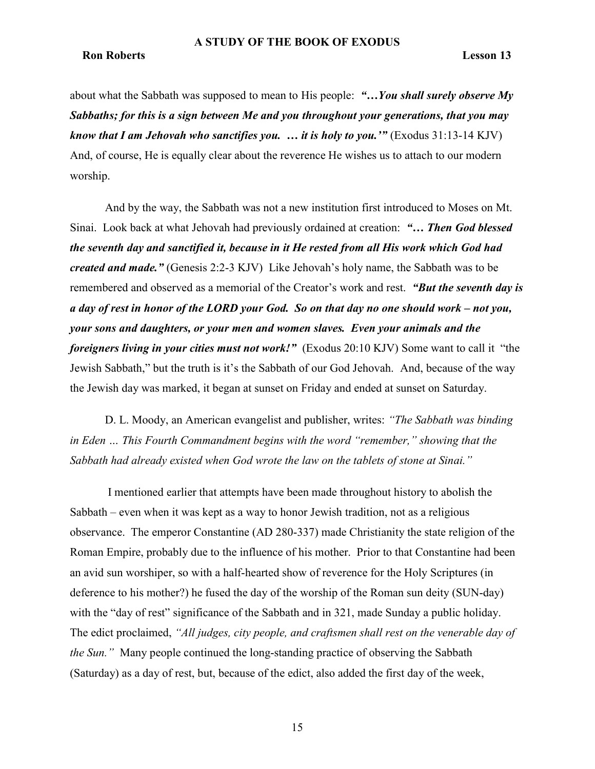about what the Sabbath was supposed to mean to His people: "...You shall surely observe My Sabbaths; for this is a sign between Me and you throughout your generations, that you may know that I am Jehovah who sanctifies you.  $\ldots$  it is holy to you.'" (Exodus 31:13-14 KJV) And, of course, He is equally clear about the reverence He wishes us to attach to our modern worship.

And by the way, the Sabbath was not a new institution first introduced to Moses on Mt. Sinai. Look back at what Jehovah had previously ordained at creation: "… Then God blessed the seventh day and sanctified it, because in it He rested from all His work which God had created and made." (Genesis 2:2-3 KJV) Like Jehovah's holy name, the Sabbath was to be remembered and observed as a memorial of the Creator's work and rest. "But the seventh day is a day of rest in honor of the LORD your God. So on that day no one should work – not you, your sons and daughters, or your men and women slaves. Even your animals and the foreigners living in your cities must not work!" (Exodus 20:10 KJV) Some want to call it "the Jewish Sabbath," but the truth is it's the Sabbath of our God Jehovah. And, because of the way the Jewish day was marked, it began at sunset on Friday and ended at sunset on Saturday.

D. L. Moody, an American evangelist and publisher, writes: "The Sabbath was binding in Eden … This Fourth Commandment begins with the word "remember," showing that the Sabbath had already existed when God wrote the law on the tablets of stone at Sinai."

 I mentioned earlier that attempts have been made throughout history to abolish the Sabbath – even when it was kept as a way to honor Jewish tradition, not as a religious observance. The emperor Constantine (AD 280-337) made Christianity the state religion of the Roman Empire, probably due to the influence of his mother. Prior to that Constantine had been an avid sun worshiper, so with a half-hearted show of reverence for the Holy Scriptures (in deference to his mother?) he fused the day of the worship of the Roman sun deity (SUN-day) with the "day of rest" significance of the Sabbath and in 321, made Sunday a public holiday. The edict proclaimed, "All judges, city people, and craftsmen shall rest on the venerable day of the Sun." Many people continued the long-standing practice of observing the Sabbath (Saturday) as a day of rest, but, because of the edict, also added the first day of the week,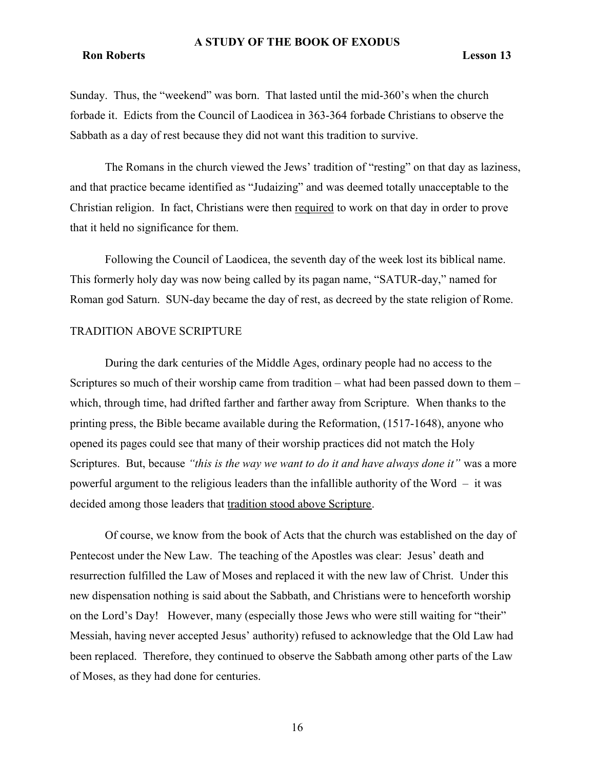#### Ron Roberts Lesson 13

Sunday. Thus, the "weekend" was born. That lasted until the mid-360's when the church forbade it. Edicts from the Council of Laodicea in 363-364 forbade Christians to observe the Sabbath as a day of rest because they did not want this tradition to survive.

The Romans in the church viewed the Jews' tradition of "resting" on that day as laziness, and that practice became identified as "Judaizing" and was deemed totally unacceptable to the Christian religion. In fact, Christians were then required to work on that day in order to prove that it held no significance for them.

Following the Council of Laodicea, the seventh day of the week lost its biblical name. This formerly holy day was now being called by its pagan name, "SATUR-day," named for Roman god Saturn. SUN-day became the day of rest, as decreed by the state religion of Rome.

# TRADITION ABOVE SCRIPTURE

During the dark centuries of the Middle Ages, ordinary people had no access to the Scriptures so much of their worship came from tradition – what had been passed down to them – which, through time, had drifted farther and farther away from Scripture. When thanks to the printing press, the Bible became available during the Reformation, (1517-1648), anyone who opened its pages could see that many of their worship practices did not match the Holy Scriptures. But, because "this is the way we want to do it and have always done it" was a more powerful argument to the religious leaders than the infallible authority of the Word – it was decided among those leaders that tradition stood above Scripture.

Of course, we know from the book of Acts that the church was established on the day of Pentecost under the New Law. The teaching of the Apostles was clear: Jesus' death and resurrection fulfilled the Law of Moses and replaced it with the new law of Christ. Under this new dispensation nothing is said about the Sabbath, and Christians were to henceforth worship on the Lord's Day! However, many (especially those Jews who were still waiting for "their" Messiah, having never accepted Jesus' authority) refused to acknowledge that the Old Law had been replaced. Therefore, they continued to observe the Sabbath among other parts of the Law of Moses, as they had done for centuries.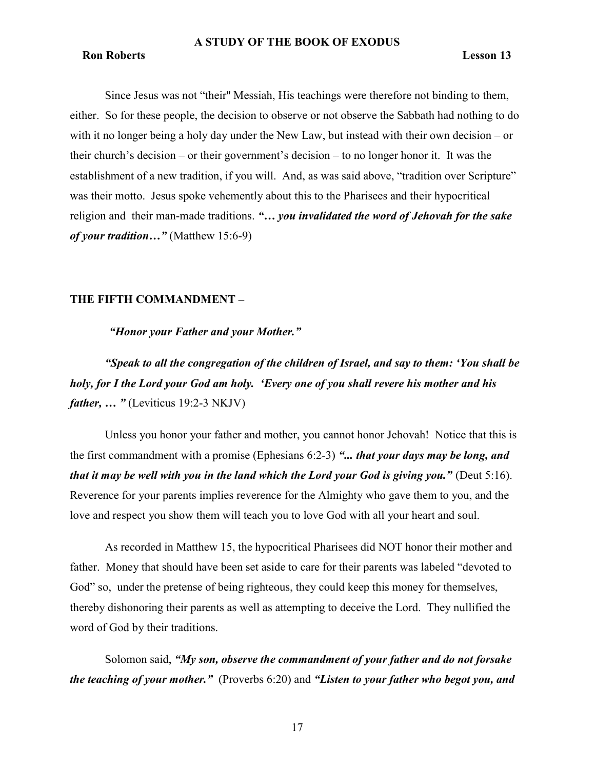# Ron Roberts Lesson 13

Since Jesus was not "their'' Messiah, His teachings were therefore not binding to them, either. So for these people, the decision to observe or not observe the Sabbath had nothing to do with it no longer being a holy day under the New Law, but instead with their own decision – or their church's decision – or their government's decision – to no longer honor it. It was the establishment of a new tradition, if you will. And, as was said above, "tradition over Scripture" was their motto. Jesus spoke vehemently about this to the Pharisees and their hypocritical religion and their man-made traditions. "... you invalidated the word of Jehovah for the sake of your tradition..." (Matthew 15:6-9)

# THE FIFTH COMMANDMENT –

"Honor your Father and your Mother."

"Speak to all the congregation of the children of Israel, and say to them: 'You shall be holy, for I the Lord your God am holy. 'Every one of you shall revere his mother and his *father, ...* " (Leviticus 19:2-3 NKJV)

Unless you honor your father and mother, you cannot honor Jehovah! Notice that this is the first commandment with a promise (Ephesians  $6:2-3$ ) "... that your days may be long, and that it may be well with you in the land which the Lord your God is giving you." (Deut  $5:16$ ). Reverence for your parents implies reverence for the Almighty who gave them to you, and the love and respect you show them will teach you to love God with all your heart and soul.

As recorded in Matthew 15, the hypocritical Pharisees did NOT honor their mother and father. Money that should have been set aside to care for their parents was labeled "devoted to God" so, under the pretense of being righteous, they could keep this money for themselves, thereby dishonoring their parents as well as attempting to deceive the Lord. They nullified the word of God by their traditions.

Solomon said, "My son, observe the commandment of your father and do not forsake the teaching of your mother." (Proverbs 6:20) and "Listen to your father who begot you, and